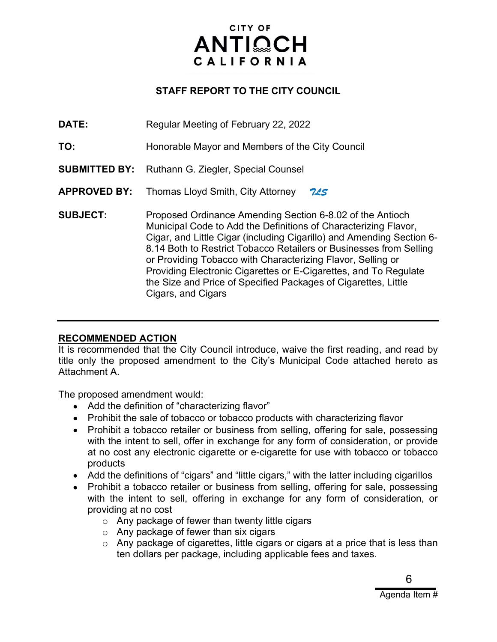# **CITY OF ANTIQCH** CALIFORNIA

# STAFF REPORT TO THE CITY COUNCIL

| DATE:                | Regular Meeting of February 22, 2022                                                                                                                                                                                                                                                                                                                                                                                                                                                                   |
|----------------------|--------------------------------------------------------------------------------------------------------------------------------------------------------------------------------------------------------------------------------------------------------------------------------------------------------------------------------------------------------------------------------------------------------------------------------------------------------------------------------------------------------|
| TO:                  | Honorable Mayor and Members of the City Council                                                                                                                                                                                                                                                                                                                                                                                                                                                        |
| <b>SUBMITTED BY:</b> | Ruthann G. Ziegler, Special Counsel                                                                                                                                                                                                                                                                                                                                                                                                                                                                    |
| <b>APPROVED BY:</b>  | Thomas Lloyd Smith, City Attorney<br>745                                                                                                                                                                                                                                                                                                                                                                                                                                                               |
| <b>SUBJECT:</b>      | Proposed Ordinance Amending Section 6-8.02 of the Antioch<br>Municipal Code to Add the Definitions of Characterizing Flavor,<br>Cigar, and Little Cigar (including Cigarillo) and Amending Section 6-<br>8.14 Both to Restrict Tobacco Retailers or Businesses from Selling<br>or Providing Tobacco with Characterizing Flavor, Selling or<br>Providing Electronic Cigarettes or E-Cigarettes, and To Regulate<br>the Size and Price of Specified Packages of Cigarettes, Little<br>Cigars, and Cigars |

## RECOMMENDED ACTION

It is recommended that the City Council introduce, waive the first reading, and read by title only the proposed amendment to the City's Municipal Code attached hereto as Attachment A.

The proposed amendment would:

- Add the definition of "characterizing flavor"
- Prohibit the sale of tobacco or tobacco products with characterizing flavor
- Prohibit a tobacco retailer or business from selling, offering for sale, possessing with the intent to sell, offer in exchange for any form of consideration, or provide at no cost any electronic cigarette or e-cigarette for use with tobacco or tobacco products
- Add the definitions of "cigars" and "little cigars," with the latter including cigarillos
- Prohibit a tobacco retailer or business from selling, offering for sale, possessing with the intent to sell, offering in exchange for any form of consideration, or providing at no cost
	- o Any package of fewer than twenty little cigars
	- o Any package of fewer than six cigars
	- o Any package of cigarettes, little cigars or cigars at a price that is less than ten dollars per package, including applicable fees and taxes.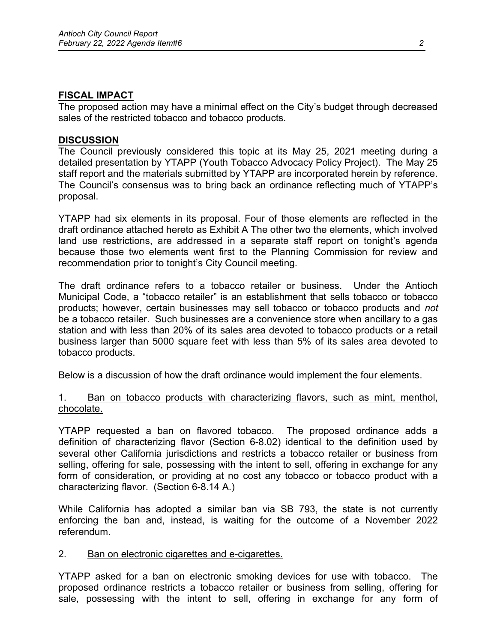#### FISCAL IMPACT

The proposed action may have a minimal effect on the City's budget through decreased sales of the restricted tobacco and tobacco products.

#### **DISCUSSION**

The Council previously considered this topic at its May 25, 2021 meeting during a detailed presentation by YTAPP (Youth Tobacco Advocacy Policy Project). The May 25 staff report and the materials submitted by YTAPP are incorporated herein by reference. The Council's consensus was to bring back an ordinance reflecting much of YTAPP's proposal.

YTAPP had six elements in its proposal. Four of those elements are reflected in the draft ordinance attached hereto as Exhibit A The other two the elements, which involved land use restrictions, are addressed in a separate staff report on tonight's agenda because those two elements went first to the Planning Commission for review and recommendation prior to tonight's City Council meeting.

The draft ordinance refers to a tobacco retailer or business. Under the Antioch Municipal Code, a "tobacco retailer" is an establishment that sells tobacco or tobacco products; however, certain businesses may sell tobacco or tobacco products and not be a tobacco retailer. Such businesses are a convenience store when ancillary to a gas station and with less than 20% of its sales area devoted to tobacco products or a retail business larger than 5000 square feet with less than 5% of its sales area devoted to tobacco products.

Below is a discussion of how the draft ordinance would implement the four elements.

#### 1. Ban on tobacco products with characterizing flavors, such as mint, menthol, chocolate.

YTAPP requested a ban on flavored tobacco. The proposed ordinance adds a definition of characterizing flavor (Section 6-8.02) identical to the definition used by several other California jurisdictions and restricts a tobacco retailer or business from selling, offering for sale, possessing with the intent to sell, offering in exchange for any form of consideration, or providing at no cost any tobacco or tobacco product with a characterizing flavor. (Section 6-8.14 A.)

While California has adopted a similar ban via SB 793, the state is not currently enforcing the ban and, instead, is waiting for the outcome of a November 2022 referendum.

#### 2. Ban on electronic cigarettes and e-cigarettes.

YTAPP asked for a ban on electronic smoking devices for use with tobacco. The proposed ordinance restricts a tobacco retailer or business from selling, offering for sale, possessing with the intent to sell, offering in exchange for any form of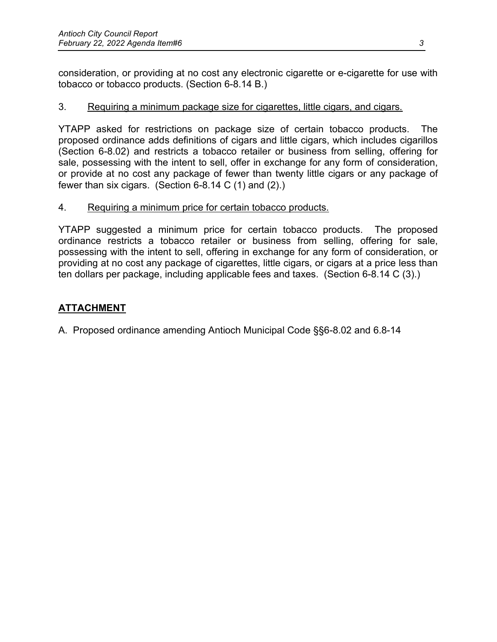consideration, or providing at no cost any electronic cigarette or e-cigarette for use with tobacco or tobacco products. (Section 6-8.14 B.)

## 3. Requiring a minimum package size for cigarettes, little cigars, and cigars.

YTAPP asked for restrictions on package size of certain tobacco products. The proposed ordinance adds definitions of cigars and little cigars, which includes cigarillos (Section 6-8.02) and restricts a tobacco retailer or business from selling, offering for sale, possessing with the intent to sell, offer in exchange for any form of consideration, or provide at no cost any package of fewer than twenty little cigars or any package of fewer than six cigars. (Section 6-8.14 C (1) and (2).)

#### 4. Requiring a minimum price for certain tobacco products.

YTAPP suggested a minimum price for certain tobacco products. The proposed ordinance restricts a tobacco retailer or business from selling, offering for sale, possessing with the intent to sell, offering in exchange for any form of consideration, or providing at no cost any package of cigarettes, little cigars, or cigars at a price less than ten dollars per package, including applicable fees and taxes. (Section 6-8.14 C (3).)

# ATTACHMENT

A. Proposed ordinance amending Antioch Municipal Code §§6-8.02 and 6.8-14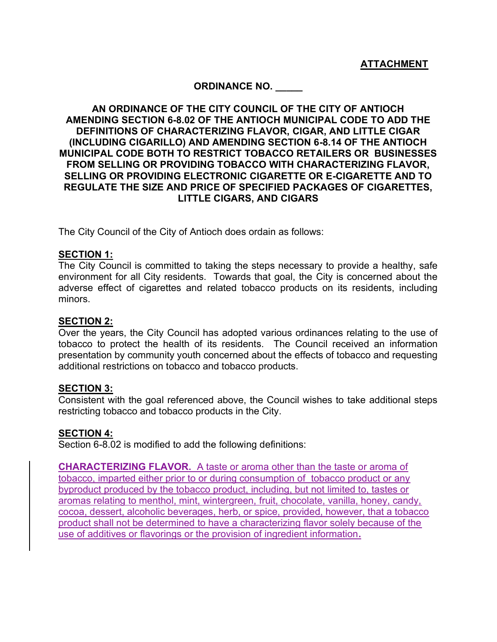#### ORDINANCE NO.

#### AN ORDINANCE OF THE CITY COUNCIL OF THE CITY OF ANTIOCH AMENDING SECTION 6-8.02 OF THE ANTIOCH MUNICIPAL CODE TO ADD THE DEFINITIONS OF CHARACTERIZING FLAVOR, CIGAR, AND LITTLE CIGAR (INCLUDING CIGARILLO) AND AMENDING SECTION 6-8.14 OF THE ANTIOCH MUNICIPAL CODE BOTH TO RESTRICT TOBACCO RETAILERS OR BUSINESSES FROM SELLING OR PROVIDING TOBACCO WITH CHARACTERIZING FLAVOR, SELLING OR PROVIDING ELECTRONIC CIGARETTE OR E-CIGARETTE AND TO REGULATE THE SIZE AND PRICE OF SPECIFIED PACKAGES OF CIGARETTES, LITTLE CIGARS, AND CIGARS

The City Council of the City of Antioch does ordain as follows:

#### **SECTION 1:**

The City Council is committed to taking the steps necessary to provide a healthy, safe environment for all City residents. Towards that goal, the City is concerned about the adverse effect of cigarettes and related tobacco products on its residents, including minors.

#### SECTION 2:

Over the years, the City Council has adopted various ordinances relating to the use of tobacco to protect the health of its residents. The Council received an information presentation by community youth concerned about the effects of tobacco and requesting additional restrictions on tobacco and tobacco products.

#### SECTION 3:

Consistent with the goal referenced above, the Council wishes to take additional steps restricting tobacco and tobacco products in the City.

#### SECTION 4:

Section 6-8.02 is modified to add the following definitions:

CHARACTERIZING FLAVOR. A taste or aroma other than the taste or aroma of tobacco, imparted either prior to or during consumption of tobacco product or any byproduct produced by the tobacco product, including, but not limited to, tastes or aromas relating to menthol, mint, wintergreen, fruit, chocolate, vanilla, honey, candy, cocoa, dessert, alcoholic beverages, herb, or spice, provided, however, that a tobacco product shall not be determined to have a characterizing flavor solely because of the use of additives or flavorings or the provision of ingredient information.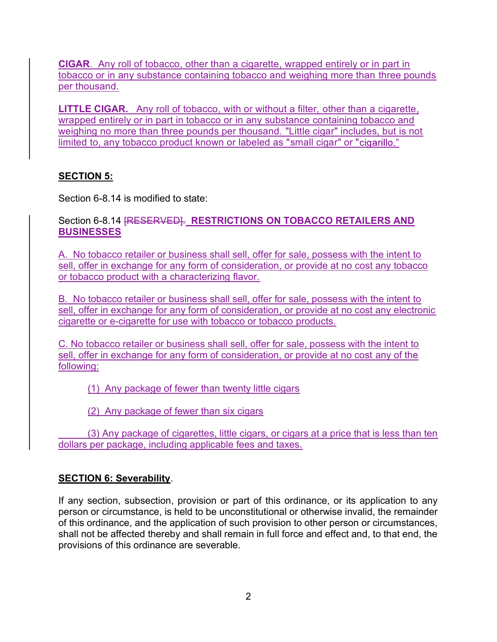CIGAR. Any roll of tobacco, other than a cigarette, wrapped entirely or in part in tobacco or in any substance containing tobacco and weighing more than three pounds per thousand.

LITTLE CIGAR. Any roll of tobacco, with or without a filter, other than a cigarette, wrapped entirely or in part in tobacco or in any substance containing tobacco and weighing no more than three pounds per thousand. "Little cigar" includes, but is not limited to, any tobacco product known or labeled as "small cigar" or "cigarillo."

# SECTION 5:

Section 6-8.14 is modified to state:

Section 6-8.14 <del>[RESERVED].</del> RESTRICTIONS ON TOBACCO RETAILERS AND **BUSINESSES** 

A. No tobacco retailer or business shall sell, offer for sale, possess with the intent to sell, offer in exchange for any form of consideration, or provide at no cost any tobacco or tobacco product with a characterizing flavor.

B. No tobacco retailer or business shall sell, offer for sale, possess with the intent to sell, offer in exchange for any form of consideration, or provide at no cost any electronic cigarette or e-cigarette for use with tobacco or tobacco products.

C. No tobacco retailer or business shall sell, offer for sale, possess with the intent to sell, offer in exchange for any form of consideration, or provide at no cost any of the following:

(1) Any package of fewer than twenty little cigars

(2) Any package of fewer than six cigars

 (3) Any package of cigarettes, little cigars, or cigars at a price that is less than ten dollars per package, including applicable fees and taxes.

## SECTION 6: Severability.

If any section, subsection, provision or part of this ordinance, or its application to any person or circumstance, is held to be unconstitutional or otherwise invalid, the remainder of this ordinance, and the application of such provision to other person or circumstances, shall not be affected thereby and shall remain in full force and effect and, to that end, the provisions of this ordinance are severable.